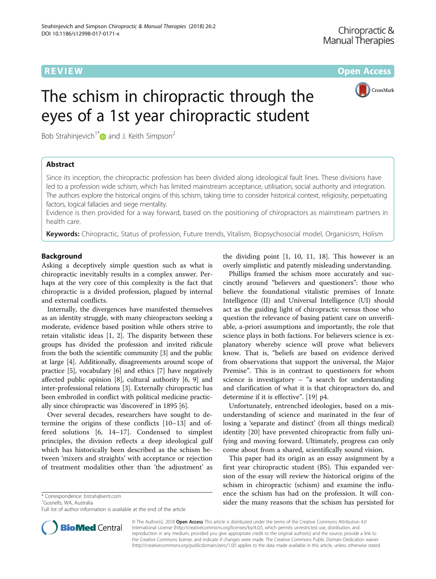**REVIEW ACCESS AND LOCAL CONTRACT CONTRACT OF ACCESS** 



# The schism in chiropractic through the eyes of a 1st year chiropractic student

Bob Strahinjevich<sup>1[\\*](http://orcid.org/0000-0002-4673-3766)</sup> and J. Keith Simpson<sup>2</sup>

# Abstract

Since its inception, the chiropractic profession has been divided along ideological fault lines. These divisions have led to a profession wide schism, which has limited mainstream acceptance, utilisation, social authority and integration. The authors explore the historical origins of this schism, taking time to consider historical context, religiosity, perpetuating factors, logical fallacies and siege mentality.

Evidence is then provided for a way forward, based on the positioning of chiropractors as mainstream partners in health care.

Keywords: Chiropractic, Status of profession, Future trends, Vitalism, Biopsychosocial model, Organicism, Holism

# **Background**

Asking a deceptively simple question such as what is chiropractic inevitably results in a complex answer. Perhaps at the very core of this complexity is the fact that chiropractic is a divided profession, plagued by internal and external conflicts.

Internally, the divergences have manifested themselves as an identity struggle, with many chiropractors seeking a moderate, evidence based position while others strive to retain vitalistic ideas [\[1](#page-8-0), [2](#page-8-0)]. The disparity between these groups has divided the profession and invited ridicule from the both the scientific community [[3](#page-9-0)] and the public at large [\[4](#page-9-0)]. Additionally, disagreements around scope of practice [[5\]](#page-9-0), vocabulary [\[6\]](#page-9-0) and ethics [[7](#page-9-0)] have negatively affected public opinion [\[8](#page-9-0)], cultural authority [\[6](#page-9-0), [9](#page-9-0)] and inter-professional relations [\[3\]](#page-9-0). Externally chiropractic has been embroiled in conflict with political medicine practically since chiropractic was 'discovered' in 1895 [[6\]](#page-9-0).

Over several decades, researchers have sought to determine the origins of these conflicts [\[10](#page-9-0)–[13\]](#page-9-0) and offered solutions [\[6](#page-9-0), [14](#page-9-0)–[17\]](#page-9-0). Condensed to simplest principles, the division reflects a deep ideological gulf which has historically been described as the schism between 'mixers and straights' with acceptance or rejection of treatment modalities other than 'the adjustment' as

\* Correspondence: [bstrah@sent.com](mailto:bstrah@sent.com) <sup>1</sup>

<sup>1</sup>Gosnells, WA, Australia

Full list of author information is available at the end of the article



Phillips framed the schism more accurately and succinctly around "believers and questioners": those who believe the foundational vitalistic premises of Innate Intelligence (II) and Universal Intelligence (UI) should act as the guiding light of chiropractic versus those who question the relevance of basing patient care on unverifiable, a-priori assumptions and importantly, the role that science plays in both factions. For believers science is explanatory whereby science will prove what believers know. That is, "beliefs are based on evidence derived from observations that support the universal, the Major Premise". This is in contrast to questioners for whom science is investigatory – "a search for understanding and clarification of what it is that chiropractors do, and determine if it is effective". [[19\]](#page-9-0) p4.

Unfortunately, entrenched ideologies, based on a misunderstanding of science and marinated in the fear of losing a 'separate and distinct' (from all things medical) identity [\[20](#page-9-0)] have prevented chiropractic from fully unifying and moving forward. Ultimately, progress can only come about from a shared, scientifically sound vision.

This paper had its origin as an essay assignment by a first year chiropractic student (BS). This expanded version of the essay will review the historical origins of the schism in chiropractic (schism) and examine the influence the schism has had on the profession. It will consider the many reasons that the schism has persisted for



© The Author(s). 2018 **Open Access** This article is distributed under the terms of the Creative Commons Attribution 4.0 International License [\(http://creativecommons.org/licenses/by/4.0/](http://creativecommons.org/licenses/by/4.0/)), which permits unrestricted use, distribution, and reproduction in any medium, provided you give appropriate credit to the original author(s) and the source, provide a link to the Creative Commons license, and indicate if changes were made. The Creative Commons Public Domain Dedication waiver [\(http://creativecommons.org/publicdomain/zero/1.0/](http://creativecommons.org/publicdomain/zero/1.0/)) applies to the data made available in this article, unless otherwise stated.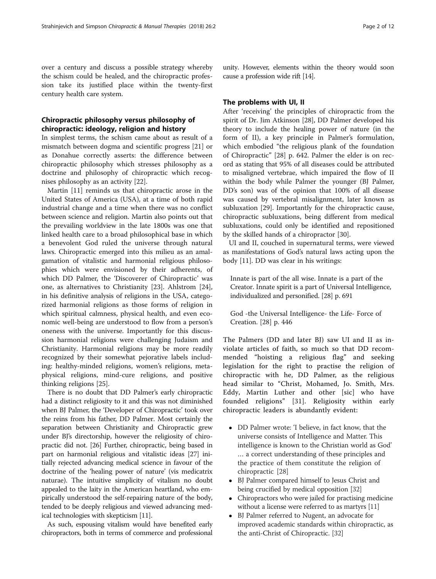over a century and discuss a possible strategy whereby the schism could be healed, and the chiropractic profession take its justified place within the twenty-first century health care system.

# Chiropractic philosophy versus philosophy of chiropractic: ideology, religion and history

In simplest terms, the schism came about as result of a mismatch between dogma and scientific progress [[21](#page-9-0)] or as Donahue correctly asserts: the difference between chiropractic philosophy which stresses philosophy as a doctrine and philosophy of chiropractic which recognises philosophy as an activity [\[22](#page-9-0)].

Martin [\[11\]](#page-9-0) reminds us that chiropractic arose in the United States of America (USA), at a time of both rapid industrial change and a time when there was no conflict between science and religion. Martin also points out that the prevailing worldview in the late 1800s was one that linked health care to a broad philosophical base in which a benevolent God ruled the universe through natural laws. Chiropractic emerged into this milieu as an amalgamation of vitalistic and harmonial religious philosophies which were envisioned by their adherents, of which DD Palmer, the 'Discoverer of Chiropractic' was one, as alternatives to Christianity [[23](#page-9-0)]. Ahlstrom [\[24](#page-9-0)], in his definitive analysis of religions in the USA, categorized harmonial religions as those forms of religion in which spiritual calmness, physical health, and even economic well-being are understood to flow from a person's oneness with the universe. Importantly for this discussion harmonial religions were challenging Judaism and Christianity. Harmonial religions may be more readily recognized by their somewhat pejorative labels including: healthy-minded religions, women's religions, metaphysical religions, mind-cure religions, and positive thinking religions [[25](#page-9-0)].

There is no doubt that DD Palmer's early chiropractic had a distinct religiosity to it and this was not diminished when BJ Palmer, the 'Developer of Chiropractic' took over the reins from his father, DD Palmer. Most certainly the separation between Christianity and Chiropractic grew under BJ's directorship, however the religiosity of chiropractic did not. [\[26\]](#page-9-0) Further, chiropractic, being based in part on harmonial religious and vitalistic ideas [[27](#page-9-0)] initially rejected advancing medical science in favour of the doctrine of the 'healing power of nature' (vis medicatrix naturae). The intuitive simplicity of vitalism no doubt appealed to the laity in the American heartland, who empirically understood the self-repairing nature of the body, tended to be deeply religious and viewed advancing medical technologies with skepticism [\[11](#page-9-0)].

As such, espousing vitalism would have benefited early chiropractors, both in terms of commerce and professional

unity. However, elements within the theory would soon cause a profession wide rift [\[14\]](#page-9-0).

## The problems with UI, II

After 'receiving' the principles of chiropractic from the spirit of Dr. Jim Atkinson [[28\]](#page-9-0), DD Palmer developed his theory to include the healing power of nature (in the form of II), a key principle in Palmer's formulation, which embodied "the religious plank of the foundation of Chiropractic" [[28\]](#page-9-0) p. 642. Palmer the elder is on record as stating that 95% of all diseases could be attributed to misaligned vertebrae, which impaired the flow of II within the body while Palmer the younger (BJ Palmer, DD's son) was of the opinion that 100% of all disease was caused by vertebral misalignment, later known as subluxation [\[29\]](#page-9-0). Importantly for the chiropractic cause, chiropractic subluxations, being different from medical subluxations, could only be identified and repositioned by the skilled hands of a chiropractor [\[30\]](#page-9-0).

UI and II, couched in supernatural terms, were viewed as manifestations of God's natural laws acting upon the body [[11](#page-9-0)]. DD was clear in his writings:

Innate is part of the all wise. Innate is a part of the Creator. Innate spirit is a part of Universal Intelligence, individualized and personified. [\[28\]](#page-9-0) p. 691

God -the Universal Intelligence- the Life- Force of Creation. [\[28](#page-9-0)] p. 446

The Palmers (DD and later BJ) saw UI and II as inviolate articles of faith, so much so that DD recommended "hoisting a religious flag" and seeking legislation for the right to practise the religion of chiropractic with he, DD Palmer, as the religious head similar to "Christ, Mohamed, Jo. Smith, Mrs. Eddy, Martin Luther and other [sic] who have founded religions" [[31\]](#page-9-0). Religiosity within early chiropractic leaders is abundantly evident:

- DD Palmer wrote: 'I believe, in fact know, that the universe consists of Intelligence and Matter. This intelligence is known to the Christian world as God' … a correct understanding of these principles and the practice of them constitute the religion of chiropractic [\[28](#page-9-0)]
- BJ Palmer compared himself to Jesus Christ and being crucified by medical opposition [[32](#page-9-0)]
- Chiropractors who were jailed for practising medicine without a license were referred to as martyrs [\[11](#page-9-0)]
- BJ Palmer referred to Nugent, an advocate for improved academic standards within chiropractic, as the anti-Christ of Chiropractic. [[32](#page-9-0)]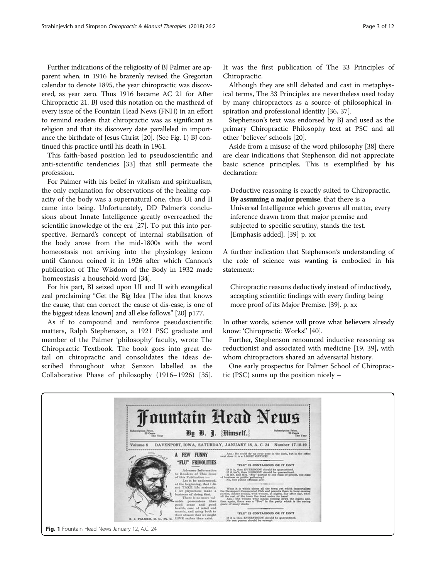Further indications of the religiosity of BJ Palmer are apparent when, in 1916 he brazenly revised the Gregorian calendar to denote 1895, the year chiropractic was discovered, as year zero. Thus 1916 became AC 21 for After Chiropractic 21. BJ used this notation on the masthead of every issue of the Fountain Head News (FNH) in an effort to remind readers that chiropractic was as significant as religion and that its discovery date paralleled in importance the birthdate of Jesus Christ [\[20\]](#page-9-0). (See Fig. 1) BJ continued this practice until his death in 1961.

This faith-based position led to pseudoscientific and anti-scientific tendencies [[33\]](#page-9-0) that still permeate the profession.

For Palmer with his belief in vitalism and spiritualism, the only explanation for observations of the healing capacity of the body was a supernatural one, thus UI and II came into being. Unfortunately, DD Palmer's conclusions about Innate Intelligence greatly overreached the scientific knowledge of the era [[27](#page-9-0)]. To put this into perspective, Bernard's concept of internal stabilisation of the body arose from the mid-1800s with the word homeostasis not arriving into the physiology lexicon until Cannon coined it in 1926 after which Cannon's publication of The Wisdom of the Body in 1932 made 'homeostasis' a household word [\[34\]](#page-9-0).

For his part, BJ seized upon UI and II with evangelical zeal proclaiming "Get the Big Idea [The idea that knows the cause, that can correct the cause of dis-ease, is one of the biggest ideas known] and all else follows" [\[20\]](#page-9-0) p177.

As if to compound and reinforce pseudoscientific matters, Ralph Stephenson, a 1921 PSC graduate and member of the Palmer 'philosophy' faculty, wrote The Chiropractic Textbook. The book goes into great detail on chiropractic and consolidates the ideas described throughout what Senzon labelled as the Collaborative Phase of philosophy (1916–1926) [\[35](#page-9-0)]. It was the first publication of The 33 Principles of Chiropractic.

Although they are still debated and cast in metaphysical terms, The 33 Principles are nevertheless used today by many chiropractors as a source of philosophical inspiration and professional identity [\[36](#page-9-0), [37](#page-9-0)].

Stephenson's text was endorsed by BJ and used as the primary Chiropractic Philosophy text at PSC and all other 'believer' schools [[20\]](#page-9-0).

Aside from a misuse of the word philosophy [[38](#page-9-0)] there are clear indications that Stephenson did not appreciate basic science principles. This is exemplified by his declaration:

Deductive reasoning is exactly suited to Chiropractic. By assuming a major premise, that there is a Universal Intelligence which governs all matter, every inference drawn from that major premise and subjected to specific scrutiny, stands the test. [Emphasis added]. [[39](#page-9-0)] p. xx

A further indication that Stephenson's understanding of the role of science was wanting is embodied in his statement:

Chiropractic reasons deductively instead of inductively, accepting scientific findings with every finding being more proof of its Major Premise. [[39](#page-9-0)]. p. xx

In other words, science will prove what believers already know: 'Chiropractic Works!' [[40\]](#page-9-0).

Further, Stephenson renounced inductive reasoning as reductionist and associated with medicine [\[19](#page-9-0), [39\]](#page-9-0), with whom chiropractors shared an adversarial history.

One early prospectus for Palmer School of Chiropractic (PSC) sums up the position nicely –

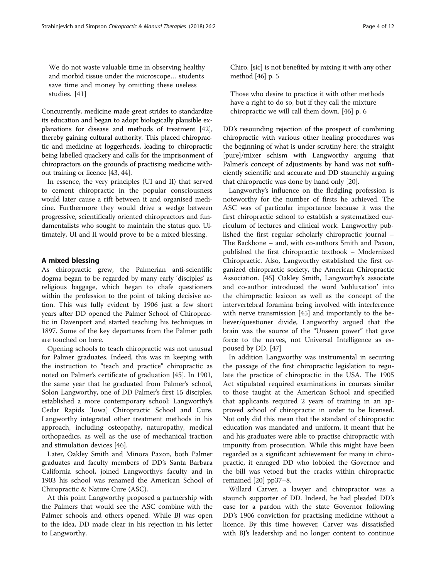We do not waste valuable time in observing healthy and morbid tissue under the microscope… students save time and money by omitting these useless studies. [[41\]](#page-9-0)

Concurrently, medicine made great strides to standardize its education and began to adopt biologically plausible explanations for disease and methods of treatment [[42](#page-9-0)], thereby gaining cultural authority. This placed chiropractic and medicine at loggerheads, leading to chiropractic being labelled quackery and calls for the imprisonment of chiropractors on the grounds of practising medicine without training or licence [\[43,](#page-9-0) [44\]](#page-9-0).

In essence, the very principles (UI and II) that served to cement chiropractic in the popular consciousness would later cause a rift between it and organised medicine. Furthermore they would drive a wedge between progressive, scientifically oriented chiropractors and fundamentalists who sought to maintain the status quo. Ultimately, UI and II would prove to be a mixed blessing.

# A mixed blessing

As chiropractic grew, the Palmerian anti-scientific dogma began to be regarded by many early 'disciples' as religious baggage, which began to chafe questioners within the profession to the point of taking decisive action. This was fully evident by 1906 just a few short years after DD opened the Palmer School of Chiropractic in Davenport and started teaching his techniques in 1897. Some of the key departures from the Palmer path are touched on here.

Opening schools to teach chiropractic was not unusual for Palmer graduates. Indeed, this was in keeping with the instruction to "teach and practice" chiropractic as noted on Palmer's certificate of graduation [[45](#page-9-0)]. In 1901, the same year that he graduated from Palmer's school, Solon Langworthy, one of DD Palmer's first 15 disciples, established a more contemporary school: Langworthy's Cedar Rapids [Iowa] Chiropractic School and Cure. Langworthy integrated other treatment methods in his approach, including osteopathy, naturopathy, medical orthopaedics, as well as the use of mechanical traction and stimulation devices [\[46](#page-9-0)].

Later, Oakley Smith and Minora Paxon, both Palmer graduates and faculty members of DD's Santa Barbara California school, joined Langworthy's faculty and in 1903 his school was renamed the American School of Chiropractic & Nature Cure (ASC).

At this point Langworthy proposed a partnership with the Palmers that would see the ASC combine with the Palmer schools and others opened. While BJ was open to the idea, DD made clear in his rejection in his letter to Langworthy.

Chiro. [sic] is not benefited by mixing it with any other method [\[46\]](#page-9-0) p. 5

Those who desire to practice it with other methods have a right to do so, but if they call the mixture chiropractic we will call them down. [[46\]](#page-9-0) p. 6

DD's resounding rejection of the prospect of combining chiropractic with various other healing procedures was the beginning of what is under scrutiny here: the straight [pure]/mixer schism with Langworthy arguing that Palmer's concept of adjustments by hand was not sufficiently scientific and accurate and DD staunchly arguing that chiropractic was done by hand only [\[20\]](#page-9-0).

Langworthy's influence on the fledgling profession is noteworthy for the number of firsts he achieved. The ASC was of particular importance because it was the first chiropractic school to establish a systematized curriculum of lectures and clinical work. Langworthy published the first regular scholarly chiropractic journal – The Backbone – and, with co-authors Smith and Paxon, published the first chiropractic textbook – Modernized Chiropractic. Also, Langworthy established the first organized chiropractic society, the American Chiropractic Association. [\[45\]](#page-9-0) Oakley Smith, Langworthy's associate and co-author introduced the word 'subluxation' into the chiropractic lexicon as well as the concept of the intervertebral foramina being involved with interference with nerve transmission [[45\]](#page-9-0) and importantly to the believer/questioner divide, Langworthy argued that the brain was the source of the "Unseen power" that gave force to the nerves, not Universal Intelligence as espoused by DD. [[47\]](#page-9-0)

In addition Langworthy was instrumental in securing the passage of the first chiropractic legislation to regulate the practice of chiropractic in the USA. The 1905 Act stipulated required examinations in courses similar to those taught at the American School and specified that applicants required 2 years of training in an approved school of chiropractic in order to be licensed. Not only did this mean that the standard of chiropractic education was mandated and uniform, it meant that he and his graduates were able to practise chiropractic with impunity from prosecution. While this might have been regarded as a significant achievement for many in chiropractic, it enraged DD who lobbied the Governor and the bill was vetoed but the cracks within chiropractic remained [\[20\]](#page-9-0) pp37–8.

Willard Carver, a lawyer and chiropractor was a staunch supporter of DD. Indeed, he had pleaded DD's case for a pardon with the state Governor following DD's 1906 conviction for practising medicine without a licence. By this time however, Carver was dissatisfied with BJ's leadership and no longer content to continue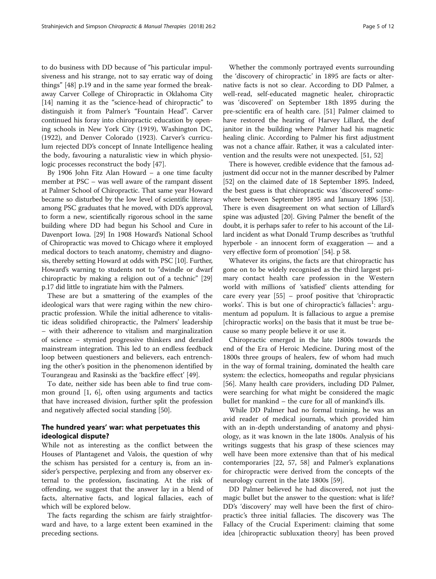to do business with DD because of "his particular impulsiveness and his strange, not to say erratic way of doing things" [\[48](#page-9-0)] p.19 and in the same year formed the breakaway Carver College of Chiropractic in Oklahoma City [[14\]](#page-9-0) naming it as the "science-head of chiropractic" to distinguish it from Palmer's "Fountain Head". Carver continued his foray into chiropractic education by opening schools in New York City (1919), Washington DC, (1922), and Denver Colorado (1923). Carver's curriculum rejected DD's concept of Innate Intelligence healing the body, favouring a naturalistic view in which physiologic processes reconstruct the body [[47\]](#page-9-0).

By 1906 John Fitz Alan Howard – a one time faculty member at PSC – was well aware of the rampant dissent at Palmer School of Chiropractic. That same year Howard became so disturbed by the low level of scientific literacy among PSC graduates that he moved, with DD's approval, to form a new, scientifically rigorous school in the same building where DD had begun his School and Cure in Davenport Iowa. [\[29\]](#page-9-0) In 1908 Howard's National School of Chiropractic was moved to Chicago where it employed medical doctors to teach anatomy, chemistry and diagnosis, thereby setting Howard at odds with PSC [[10](#page-9-0)]. Further, Howard's warning to students not to "dwindle or dwarf chiropractic by making a religion out of a technic" [[29](#page-9-0)] p.17 did little to ingratiate him with the Palmers.

These are but a smattering of the examples of the ideological wars that were raging within the new chiropractic profession. While the initial adherence to vitalistic ideas solidified chiropractic, the Palmers' leadership – with their adherence to vitalism and marginalization of science – stymied progressive thinkers and derailed mainstream integration. This led to an endless feedback loop between questioners and believers, each entrenching the other's position in the phenomenon identified by Tourangeau and Rasinski as the 'backfire effect' [[49\]](#page-9-0).

To date, neither side has been able to find true common ground [[1,](#page-8-0) [6](#page-9-0)], often using arguments and tactics that have increased division, further split the profession and negatively affected social standing [\[50](#page-9-0)].

# The hundred years' war: what perpetuates this ideological dispute?

While not as interesting as the conflict between the Houses of Plantagenet and Valois, the question of why the schism has persisted for a century is, from an insider's perspective, perplexing and from any observer external to the profession, fascinating. At the risk of offending, we suggest that the answer lay in a blend of facts, alternative facts, and logical fallacies, each of which will be explored below.

The facts regarding the schism are fairly straightforward and have, to a large extent been examined in the preceding sections.

Whether the commonly portrayed events surrounding the 'discovery of chiropractic' in 1895 are facts or alternative facts is not so clear. According to DD Palmer, a well-read, self-educated magnetic healer, chiropractic was 'discovered' on September 18th 1895 during the pre-scientific era of health care. [\[51](#page-9-0)] Palmer claimed to have restored the hearing of Harvey Lillard, the deaf janitor in the building where Palmer had his magnetic healing clinic. According to Palmer his first adjustment was not a chance affair. Rather, it was a calculated intervention and the results were not unexpected. [[51, 52](#page-9-0)]

There is however, credible evidence that the famous adjustment did occur not in the manner described by Palmer [[52](#page-9-0)] on the claimed date of 18 September 1895. Indeed, the best guess is that chiropractic was 'discovered' somewhere between September 1895 and January 1896 [[53](#page-9-0)]. There is even disagreement on what section of Lillard's spine was adjusted [\[20](#page-9-0)]. Giving Palmer the benefit of the doubt, it is perhaps safer to refer to his account of the Lillard incident as what Donald Trump describes as 'truthful hyperbole - an innocent form of exaggeration — and a very effective form of promotion' [\[54](#page-9-0)]. p 58.

Whatever its origins, the facts are that chiropractic has gone on to be widely recognised as the third largest primary contact health care profession in the Western world with millions of 'satisfied' clients attending for care every year [[55\]](#page-9-0) – proof positive that 'chiropractic works'. This is but one of chiropractic's fallacies<sup>1</sup>: argumentum ad populum. It is fallacious to argue a premise [chiropractic works] on the basis that it must be true because so many people believe it or use it.

Chiropractic emerged in the late 1800s towards the end of the Era of Heroic Medicine. During most of the 1800s three groups of healers, few of whom had much in the way of formal training, dominated the health care system: the eclectics, homeopaths and regular physicians [[56\]](#page-9-0). Many health care providers, including DD Palmer, were searching for what might be considered the magic bullet for mankind – the cure for all of mankind's ills.

While DD Palmer had no formal training, he was an avid reader of medical journals, which provided him with an in-depth understanding of anatomy and physiology, as it was known in the late 1800s. Analysis of his writings suggests that his grasp of these sciences may well have been more extensive than that of his medical contemporaries [\[22](#page-9-0), [57](#page-9-0), [58](#page-9-0)] and Palmer's explanations for chiropractic were derived from the concepts of the neurology current in the late 1800s [\[59\]](#page-9-0).

DD Palmer believed he had discovered, not just the magic bullet but the answer to the question: what is life? DD's 'discovery' may well have been the first of chiropractic's three initial fallacies. The discovery was The Fallacy of the Crucial Experiment: claiming that some idea [chiropractic subluxation theory] has been proved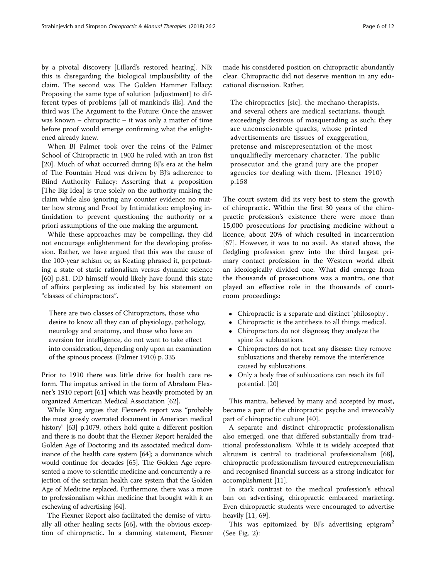by a pivotal discovery [Lillard's restored hearing]. NB: this is disregarding the biological implausibility of the claim. The second was The Golden Hammer Fallacy: Proposing the same type of solution [adjustment] to different types of problems [all of mankind's ills]. And the third was The Argument to the Future: Once the answer was known – chiropractic – it was only a matter of time before proof would emerge confirming what the enlightened already knew.

When BJ Palmer took over the reins of the Palmer School of Chiropractic in 1903 he ruled with an iron fist [[20\]](#page-9-0). Much of what occurred during BJ's era at the helm of The Fountain Head was driven by BJ's adherence to Blind Authority Fallacy: Asserting that a proposition [The Big Idea] is true solely on the authority making the claim while also ignoring any counter evidence no matter how strong and Proof by Intimidation: employing intimidation to prevent questioning the authority or a priori assumptions of the one making the argument.

While these approaches may be compelling, they did not encourage enlightenment for the developing profession. Rather, we have argued that this was the cause of the 100-year schism or, as Keating phrased it, perpetuating a state of static rationalism versus dynamic science [[60\]](#page-9-0) p.81. DD himself would likely have found this state of affairs perplexing as indicated by his statement on "classes of chiropractors".

There are two classes of Chiropractors, those who desire to know all they can of physiology, pathology, neurology and anatomy, and those who have an aversion for intelligence, do not want to take effect into consideration, depending only upon an examination of the spinous process. (Palmer 1910) p. 335

Prior to 1910 there was little drive for health care reform. The impetus arrived in the form of Abraham Flexner's 1910 report [[61](#page-9-0)] which was heavily promoted by an organized American Medical Association [\[62](#page-9-0)].

While King argues that Flexner's report was "probably the most grossly overrated document in American medical history" [[63](#page-9-0)] p.1079, others hold quite a different position and there is no doubt that the Flexner Report heralded the Golden Age of Doctoring and its associated medical dominance of the health care system [\[64](#page-9-0)]; a dominance which would continue for decades [\[65](#page-9-0)]. The Golden Age represented a move to scientific medicine and concurrently a rejection of the sectarian health care system that the Golden Age of Medicine replaced. Furthermore, there was a move to professionalism within medicine that brought with it an eschewing of advertising [[64](#page-9-0)].

The Flexner Report also facilitated the demise of virtually all other healing sects [\[66\]](#page-9-0), with the obvious exception of chiropractic. In a damning statement, Flexner made his considered position on chiropractic abundantly clear. Chiropractic did not deserve mention in any educational discussion. Rather,

The chiropractics [sic]. the mechano-therapists, and several others are medical sectarians, though exceedingly desirous of masquerading as such; they are unconscionable quacks, whose printed advertisements are tissues of exaggeration, pretense and misrepresentation of the most unqualifiedly mercenary character. The public prosecutor and the grand jury are the proper agencies for dealing with them. (Flexner 1910) p.158

The court system did its very best to stem the growth of chiropractic. Within the first 30 years of the chiropractic profession's existence there were more than 15,000 prosecutions for practising medicine without a licence, about 20% of which resulted in incarceration [[67](#page-9-0)]. However, it was to no avail. As stated above, the fledgling profession grew into the third largest primary contact profession in the Western world albeit an ideologically divided one. What did emerge from the thousands of prosecutions was a mantra, one that played an effective role in the thousands of courtroom proceedings:

- Chiropractic is a separate and distinct 'philosophy'.
- Chiropractic is the antithesis to all things medical.
- Chiropractors do not diagnose; they analyze the spine for subluxations.
- Chiropractors do not treat any disease: they remove subluxations and thereby remove the interference caused by subluxations.
- Only a body free of subluxations can reach its full potential. [\[20\]](#page-9-0)

This mantra, believed by many and accepted by most, became a part of the chiropractic psyche and irrevocably part of chiropractic culture [[40\]](#page-9-0).

A separate and distinct chiropractic professionalism also emerged, one that differed substantially from traditional professionalism. While it is widely accepted that altruism is central to traditional professionalism [\[68](#page-9-0)], chiropractic professionalism favoured entrepreneurialism and recognised financial success as a strong indicator for accomplishment [[11\]](#page-9-0).

In stark contrast to the medical profession's ethical ban on advertising, chiropractic embraced marketing. Even chiropractic students were encouraged to advertise heavily [[11,](#page-9-0) [69\]](#page-10-0).

This was epitomized by BJ's advertising epigram<sup>2</sup> (See Fig. [2\)](#page-6-0):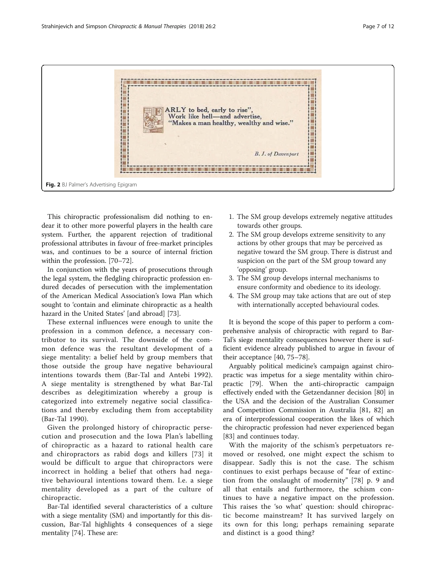<span id="page-6-0"></span>

This chiropractic professionalism did nothing to endear it to other more powerful players in the health care system. Further, the apparent rejection of traditional professional attributes in favour of free-market principles was, and continues to be a source of internal friction within the profession. [[70](#page-10-0)–[72](#page-10-0)].

In conjunction with the years of prosecutions through the legal system, the fledgling chiropractic profession endured decades of persecution with the implementation of the American Medical Association's Iowa Plan which sought to 'contain and eliminate chiropractic as a health hazard in the United States' [and abroad] [[73\]](#page-10-0).

These external influences were enough to unite the profession in a common defence, a necessary contributor to its survival. The downside of the common defence was the resultant development of a siege mentality: a belief held by group members that those outside the group have negative behavioural intentions towards them (Bar-Tal and Antebi 1992). A siege mentality is strengthened by what Bar-Tal describes as delegitimization whereby a group is categorized into extremely negative social classifications and thereby excluding them from acceptability (Bar-Tal 1990).

Given the prolonged history of chiropractic persecution and prosecution and the Iowa Plan's labelling of chiropractic as a hazard to rational health care and chiropractors as rabid dogs and killers [[73\]](#page-10-0) it would be difficult to argue that chiropractors were incorrect in holding a belief that others had negative behavioural intentions toward them. I.e. a siege mentality developed as a part of the culture of chiropractic.

Bar-Tal identified several characteristics of a culture with a siege mentality (SM) and importantly for this discussion, Bar-Tal highlights 4 consequences of a siege mentality [\[74\]](#page-10-0). These are:

- 1. The SM group develops extremely negative attitudes towards other groups.
- 2. The SM group develops extreme sensitivity to any actions by other groups that may be perceived as negative toward the SM group. There is distrust and suspicion on the part of the SM group toward any 'opposing' group.
- 3. The SM group develops internal mechanisms to ensure conformity and obedience to its ideology.
- 4. The SM group may take actions that are out of step with internationally accepted behavioural codes.

It is beyond the scope of this paper to perform a comprehensive analysis of chiropractic with regard to Bar-Tal's siege mentality consequences however there is sufficient evidence already published to argue in favour of their acceptance [\[40](#page-9-0), [75](#page-10-0)–[78\]](#page-10-0).

Arguably political medicine's campaign against chiropractic was impetus for a siege mentality within chiropractic [\[79](#page-10-0)]. When the anti-chiropractic campaign effectively ended with the Getzendanner decision [\[80](#page-10-0)] in the USA and the decision of the Australian Consumer and Competition Commission in Australia [\[81](#page-10-0), [82\]](#page-10-0) an era of interprofessional cooperation the likes of which the chiropractic profession had never experienced began [[83\]](#page-10-0) and continues today.

With the majority of the schism's perpetuators removed or resolved, one might expect the schism to disappear. Sadly this is not the case. The schism continues to exist perhaps because of "fear of extinction from the onslaught of modernity" [\[78\]](#page-10-0) p. 9 and all that entails and furthermore, the schism continues to have a negative impact on the profession. This raises the 'so what' question: should chiropractic become mainstream? It has survived largely on its own for this long; perhaps remaining separate and distinct is a good thing?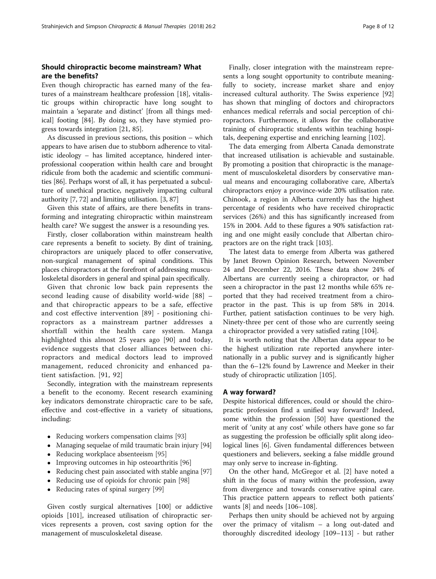# Should chiropractic become mainstream? What are the benefits?

Even though chiropractic has earned many of the features of a mainstream healthcare profession [[18\]](#page-9-0), vitalistic groups within chiropractic have long sought to maintain a 'separate and distinct' [from all things medical] footing [[84\]](#page-10-0). By doing so, they have stymied progress towards integration [[21,](#page-9-0) [85\]](#page-10-0).

As discussed in previous sections, this position – which appears to have arisen due to stubborn adherence to vitalistic ideology – has limited acceptance, hindered interprofessional cooperation within health care and brought ridicule from both the academic and scientific communities [\[86\]](#page-10-0). Perhaps worst of all, it has perpetuated a subculture of unethical practice, negatively impacting cultural authority [[7,](#page-9-0) [72\]](#page-10-0) and limiting utilisation. [\[3,](#page-9-0) [87](#page-10-0)]

Given this state of affairs, are there benefits in transforming and integrating chiropractic within mainstream health care? We suggest the answer is a resounding yes.

Firstly, closer collaboration within mainstream health care represents a benefit to society. By dint of training, chiropractors are uniquely placed to offer conservative, non-surgical management of spinal conditions. This places chiropractors at the forefront of addressing musculoskeletal disorders in general and spinal pain specifically.

Given that chronic low back pain represents the second leading cause of disability world-wide [\[88\]](#page-10-0) – and that chiropractic appears to be a safe, effective and cost effective intervention [[89](#page-10-0)] - positioning chiropractors as a mainstream partner addresses a shortfall within the health care system. Manga highlighted this almost 25 years ago [[90\]](#page-10-0) and today, evidence suggests that closer alliances between chiropractors and medical doctors lead to improved management, reduced chronicity and enhanced patient satisfaction. [[91](#page-10-0), [92\]](#page-10-0)

Secondly, integration with the mainstream represents a benefit to the economy. Recent research examining key indicators demonstrate chiropractic care to be safe, effective and cost-effective in a variety of situations, including:

- Reducing workers compensation claims [\[93\]](#page-10-0)
- Managing sequelae of mild traumatic brain injury [\[94](#page-10-0)]
- Reducing workplace absenteeism [\[95](#page-10-0)]
- Improving outcomes in hip osteoarthritis [\[96\]](#page-10-0)
- Reducing chest pain associated with stable angina [\[97\]](#page-10-0)
- Reducing use of opioids for chronic pain [[98](#page-10-0)]
- Reducing rates of spinal surgery [[99](#page-10-0)]

Given costly surgical alternatives [\[100\]](#page-10-0) or addictive opioids [\[101](#page-10-0)], increased utilisation of chiropractic services represents a proven, cost saving option for the management of musculoskeletal disease.

Finally, closer integration with the mainstream represents a long sought opportunity to contribute meaningfully to society, increase market share and enjoy increased cultural authority. The Swiss experience [[92](#page-10-0)] has shown that mingling of doctors and chiropractors enhances medical referrals and social perception of chiropractors. Furthermore, it allows for the collaborative training of chiropractic students within teaching hospitals, deepening expertise and enriching learning [[102](#page-10-0)].

The data emerging from Alberta Canada demonstrate that increased utilisation is achievable and sustainable. By promoting a position that chiropractic is the management of musculoskeletal disorders by conservative manual means and encouraging collaborative care, Alberta's chiropractors enjoy a province-wide 20% utilisation rate. Chinook, a region in Alberta currently has the highest percentage of residents who have received chiropractic services (26%) and this has significantly increased from 15% in 2004. Add to these figures a 90% satisfaction rating and one might easily conclude that Albertan chiropractors are on the right track [[103\]](#page-10-0).

The latest data to emerge from Alberta was gathered by Janet Brown Opinion Research, between November 24 and December 22, 2016. These data show 24% of Albertans are currently seeing a chiropractor, or had seen a chiropractor in the past 12 months while 65% reported that they had received treatment from a chiropractor in the past. This is up from 58% in 2014. Further, patient satisfaction continues to be very high. Ninety-three per cent of those who are currently seeing a chiropractor provided a very satisfied rating [\[104](#page-10-0)].

It is worth noting that the Albertan data appear to be the highest utilization rate reported anywhere internationally in a public survey and is significantly higher than the 6–12% found by Lawrence and Meeker in their study of chiropractic utilization [[105](#page-10-0)].

### A way forward?

Despite historical differences, could or should the chiropractic profession find a unified way forward? Indeed, some within the profession [[50](#page-9-0)] have questioned the merit of 'unity at any cost' while others have gone so far as suggesting the profession be officially split along ideological lines [\[6](#page-9-0)]. Given fundamental differences between questioners and believers, seeking a false middle ground may only serve to increase in-fighting.

On the other hand, McGregor et al. [[2](#page-8-0)] have noted a shift in the focus of many within the profession, away from divergence and towards conservative spinal care. This practice pattern appears to reflect both patients' wants [[8](#page-9-0)] and needs [[106](#page-10-0)–[108](#page-10-0)].

Perhaps then unity should be achieved not by arguing over the primacy of vitalism – a long out-dated and thoroughly discredited ideology [[109](#page-10-0)–[113](#page-10-0)] - but rather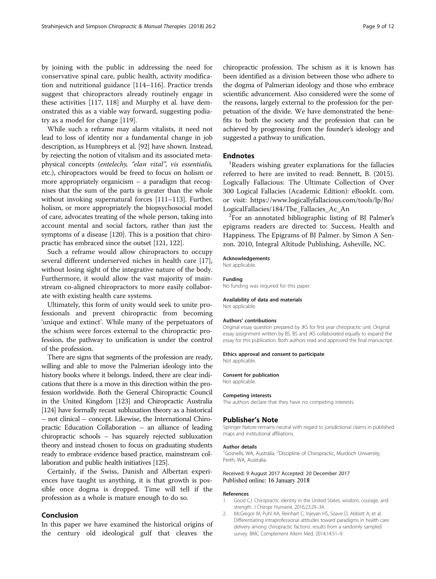<span id="page-8-0"></span>by joining with the public in addressing the need for conservative spinal care, public health, activity modification and nutritional guidance [[114](#page-10-0)–[116](#page-10-0)]. Practice trends suggest that chiropractors already routinely engage in these activities [\[117, 118\]](#page-10-0) and Murphy et al. have demonstrated this as a viable way forward, suggesting podiatry as a model for change [\[119\]](#page-10-0).

While such a reframe may alarm vitalists, it need not lead to loss of identity nor a fundamental change in job description, as Humphreys et al. [\[92\]](#page-10-0) have shown. Instead, by rejecting the notion of vitalism and its associated metaphysical concepts (entelechy, "elan vital", vis essentialis, etc.), chiropractors would be freed to focus on holism or more appropriately organicism – a paradigm that recognises that the sum of the parts is greater than the whole without invoking supernatural forces [\[111](#page-10-0)–[113\]](#page-10-0). Further, holism, or more appropriately the biopsychosocial model of care, advocates treating of the whole person, taking into account mental and social factors, rather than just the symptoms of a disease [[120](#page-10-0)]. This is a position that chiropractic has embraced since the outset [\[121, 122](#page-11-0)].

Such a reframe would allow chiropractors to occupy several different underserved niches in health care [\[17](#page-9-0)], without losing sight of the integrative nature of the body. Furthermore, it would allow the vast majority of mainstream co-aligned chiropractors to more easily collaborate with existing health care systems.

Ultimately, this form of unity would seek to unite professionals and prevent chiropractic from becoming 'unique and extinct'. While many of the perpetuators of the schism were forces external to the chiropractic profession, the pathway to unification is under the control of the profession.

There are signs that segments of the profession are ready, willing and able to move the Palmerian ideology into the history books where it belongs. Indeed, there are clear indications that there is a move in this direction within the profession worldwide. Both the General Chiropractic Council in the United Kingdom [\[123](#page-11-0)] and Chiropractic Australia [[124\]](#page-11-0) have formally recast subluxation theory as a historical – not clinical – concept. Likewise, the International Chiropractic Education Collaboration – an alliance of leading chiropractic schools – has squarely rejected subluxation theory and instead chosen to focus on graduating students ready to embrace evidence based practice, mainstream collaboration and public health initiatives [\[125](#page-11-0)].

Certainly, if the Swiss, Danish and Albertan experiences have taught us anything, it is that growth is possible once dogma is dropped. Time will tell if the profession as a whole is mature enough to do so.

## Conclusion

In this paper we have examined the historical origins of the century old ideological gulf that cleaves the

chiropractic profession. The schism as it is known has been identified as a division between those who adhere to the dogma of Palmerian ideology and those who embrace scientific advancement. Also considered were the some of the reasons, largely external to the profession for the perpetuation of the divide. We have demonstrated the benefits to both the society and the profession that can be achieved by progressing from the founder's ideology and suggested a pathway to unification.

#### **Endnotes**

<sup>1</sup>Readers wishing greater explanations for the fallacies referred to here are invited to read: Bennett, B. (2015). Logically Fallacious: The Ultimate Collection of Over 300 Logical Fallacies (Academic Edition): eBookIt. com. or visit: [https://www.logicallyfallacious.com/tools/lp/Bo/](https://www.logicallyfallacious.com/tools/lp/Bo/LogicalFallacies/184/The_Fallacies_Ac_An) [LogicalFallacies/184/The\\_Fallacies\\_Ac\\_An](https://www.logicallyfallacious.com/tools/lp/Bo/LogicalFallacies/184/The_Fallacies_Ac_An) <sup>2</sup>

<sup>2</sup>For an annotated bibliographic listing of BJ Palmer's epigrams readers are directed to: Success, Health and Happiness. The Epigrams of BJ Palmer. by Simon A Senzon. 2010, Integral Altitude Publishing, Asheville, NC.

#### Acknowledgements

Not applicable.

# Funding

No funding was required for this paper.

# Availability of data and materials

Not applicable.

#### Authors' contributions

Original essay question prepared by JKS for first year chiropractic unit. Original essay assignment written by BS. BS and JKS collaborated equally to expand the essay for this publication. Both authors read and approved the final manuscript.

#### Ethics approval and consent to participate

Not applicable.

#### Consent for publication

Not applicable.

#### Competing interests

The authors declare that they have no competing interests.

#### Publisher's Note

Springer Nature remains neutral with regard to jurisdictional claims in published maps and institutional affiliations.

#### Author details

<sup>1</sup>Gosnells, WA, Australia. <sup>2</sup>Discipline of Chiropractic, Murdoch University Perth, WA, Australia.

#### Received: 9 August 2017 Accepted: 20 December 2017 Published online: 16 January 2018

#### References

- 1. Good CJ. Chiropractic identity in the United States: wisdom, courage, and strength. J Chiropr Humanit. 2016;23:29–34.
- 2. McGregor M, Puhl AA, Reinhart C, Injeyan HS, Soave D, Abbott A, et al. Differentiating intraprofessional attitudes toward paradigms in health care delivery among chiropractic factions: results from a randomly sampled survey. BMC Complement Altern Med. 2014;14:51–9.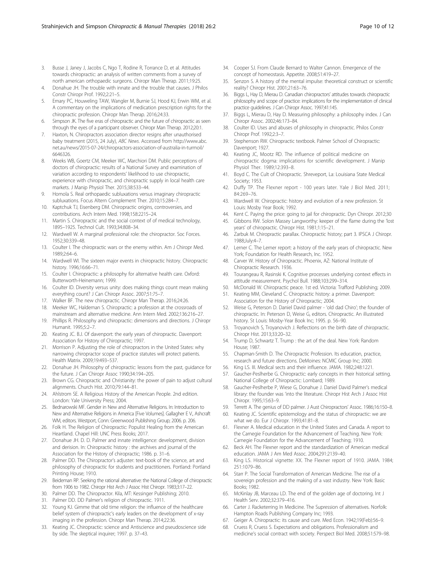- <span id="page-9-0"></span>3. Busse J, Janey J, Jacobs C, Ngo T, Rodine R, Torrance D, et al. Attitudes towards chiropractic: an analysis of written comments from a survey of north american orthopaedic surgeons. Chiropr Man Therap. 2011;19:25.
- 4. Donahue JH. The trouble with innate and the trouble that causes. J Philos Constr Chiropr Prof. 1992;2:21–5.
- 5. Emary PC, Houweling TAW, Wangler M, Burnie SJ, Hood KJ, Erwin WM, et al. A commentary on the implications of medication prescription rights for the chiropractic profession. Chiropr Man Therap. 2016;24:33.
- Simpson JK. The five eras of chiropractic and the future of chiropractic as seen through the eyes of a participant observer. Chiropr Man Therap. 2012;20:1.
- Haxton, N. Chiropractors association director resigns after unauthorised baby treatment (2015, 24 July), ABC News. Accessed from [http://www.abc.](http://www.abc.net.au/news/2015-07-24/chiropractors-association-of-australia-in-turmoil/6646326) [net.au/news/2015-07-24/chiropractors-association-of-australia-in-turmoil/](http://www.abc.net.au/news/2015-07-24/chiropractors-association-of-australia-in-turmoil/6646326) [6646326.](http://www.abc.net.au/news/2015-07-24/chiropractors-association-of-australia-in-turmoil/6646326)
- 8. Weeks WB, Goertz CM, Meeker WC, Marchiori DM. Public perceptions of doctors of chiropractic: results of a National Survey and examination of variation according to respondents' likelihood to use chiropractic, experience with chiropractic, and chiropractic supply in local health care markets. J Manip Physiol Ther. 2015;38:533–44.
- 9. Homola S. Real orthopaedic subluxations versus imaginary chiropractic subluxations. Focus Altern Complement Ther. 2010;15:284–7.
- 10. Kaptchuk TJ, Eisenberg DM. Chiropractic origins, controversies, and contributions. Arch Intern Med. 1998;158:2215–24.
- 11. Martin S. Chiropractic and the social context of of medical technology, 1895–1925. Technol Cult. 1993;34:808–34.
- 12. Wardwell W. A marginal professional role: the chiropractor. Soc Forces. 1952;30:339–48.
- 13. Coulter I. The chiropractic wars or the enemy within. Am J Chiropr Med. 1989;2:64–6.
- 14. Wardwell WI. The sixteen major events in chiropractic history. Chiropractic history. 1996;16:66–71.
- 15. Coulter I. Chiropractic: a philosophy for alternative health care. Oxford: Butterworth-Heinemann; 1999.
- 16. Coulter ID. Diversity versus unity: does making things count mean making everything count? J Can Chiropr Assoc. 2007;51:75–7.
- 17. Walker BF. The new chiropractic. Chiropr Man Therap. 2016;24:26.
- 18. Meeker WC, Haldeman S. Chiropractic: a profession at the crossroads of mainstream and alternative medicine. Ann Intern Med. 2002;136:216–27.
- 19. Phillips R. Philosophy and chiropractic: dimensions and directions. J Chiropr Humanit. 1995;5:2–7.
- 20. Keating JC. B.J. Of davenport: the early years of chiropractic. Davenport: Association for History of Chiropractic; 1997.
- 21. Morrison P. Adjusting the role of chiropractors in the United States: why narrowing chiropractor scope of practice statutes will protect patients. Health Matrix. 2009;19:493–537.
- 22. Donahue JH. Philosophy of chiropractic: lessons from the past, guidance for the future. J Can Chiropr Assoc 1990;34:194–205.
- 23. Brown CG. Chiropractic and Christianity: the power of pain to adjust cultural alignments. Church Hist. 2010;79:144–81.
- 24. Ahlstrom SE. A Religious History of the American People. 2nd edition. London: Yale University Press; 2004.
- 25. Bednarowski MF. Gender in New and Alternative Religions. In: Introduction to New and Alternative Religions in America [Five Volumes]. Gallagher E V., Ashcraft WM, editors. Westport, Conn: Greenwood Publishing Group; 2006. p. 206.
- 26. Folk H. The Religion of Chiropractic: Populist Healing from the American Heartland. Chapel Hill: UNC Press Books; 2017.
- 27. Donahue JH. D. D. Palmer and innate intelligence: development, division and derision. In: Chiropractic history : the archives and journal of the Association for the History of chiropractic; 1986. p. 31–6.
- 28. Palmer DD. The Chiropractor's adjuster: text-book of the science, art and philosophy of chiropractic for students and practitioners. Portland: Portland Printing House; 1910.
- 29. Beideman RP. Seeking the rational alternative: the National College of chiropractic from 1906 to 1982. Chiropr Hist Arch J Assoc Hist Chiropr. 1983;3:17–22.
- 30. Palmer DD. The Chiropractor. Kila, MT: Kessinger Publishing; 2010.
- 31. Palmer DD. DD Palmer's religion of chiropractic. 1911.
- 32. Young KJ. Gimme that old time religion: the influence of the healthcare belief system of chiropractic's early leaders on the development of x-ray imaging in the profession. Chiropr Man Therap. 2014;22:36.
- 33. Keating JC. Chiropractic: science and Antiscience and pseudoscience side by side. The skeptical inquirer; 1997. p. 37–43.
- 34. Cooper SJ. From Claude Bernard to Walter Cannon. Emergence of the concept of homeostasis. Appetite. 2008;51:419–27.
- 35. Senzon S. A history of the mental impulse: theoretical construct or scientific reality? Chiropr Hist. 2001;21:63–76.
- 36. Biggs L, Hay D, Mierau D. Canadian chiropractors' attitudes towards chiropractic philosophy and scope of practice: implications for the implementation of clinical practice guidelines. J Can Chiropr Assoc. 1997;41:145.
- 37. Biggs L, Mierau D, Hay D. Measuring philosophy: a philosophy index. J Can Chiropr Assoc. 2002;46:173–84.
- 38. Coulter ID. Uses and abuses of philosophy in chiropractic. Philos Constr Chiropr Prof. 1992;2:3–7.
- 39. Stephenson RW. Chiropractic textbook. Palmer School of Chiropractic: Davenport; 1927.
- 40. Keating JC, Mootz RD. The influence of political medicine on chiropractic dogma: implications for scientific development. J Manip Physiol Ther. 1989;12:393–8.
- 41. Boyd C. The Cult of Chiropractic. Shreveport, La: Louisiana State Medical Society; 1953.
- 42. Duffy TP. The Flexner report 100 years later. Yale J Biol Med. 2011; 84:269–76.
- 43. Wardwell W. Chiropractic: history and evolution of a new profession. St Louis: Mosby Year Book; 1992.
- 44. Kent C. Paying the price: going to jail for chiropractic. Dyn Chiropr. 2012;30
- 45. Gibbons RW. Solon Massey Langworthy: keeper of the flame during the 'lost years' of chiropractic. Chiropr Hist. 1981;1:15–21.
- 46. Zarbuk M. Chiropractic parallax. Chiropractic history; part 3. IPSCA J Chiropr. 1988;July:4–7.
- 47. Lerner C. The Lerner report: a history of the early years of chiropractic. New York; Foundation for Health Research, Inc. 1952.
- 48. Carver W. History of Chiropractic. Phoenix, AZ: National Institute of Chiropractic Research. 1936.
- 49. Tourangeau R, Rasinski K. Cognitive processes underlying context effects in attitude measurement. Psychol Bull. 1988;103:299–314.
- 50. McDonald W. Chiropractic peace. 1st ed. Victoria: Trafford Publishing; 2009.
- 51. Keating MM, Cleveland C. Chiropractic history: a primer. Davenport: Association for the History of Chiropractic; 2004.
- 52. Weise G, Peterson D. Daniel David palmer 'old dad Chiro'; the founder of chiropractic. In: Peterson D, Weise G, editors. Chiropractic. An illustrated history. St Louis: Mosby-Year Book Inc; 1995. p. 56–90.
- 53. Troyanovich S, Troyanovich J. Reflections on the birth date of chiropractic. Chiropr Hist. 2013;33:20–32.
- 54. Trump D, Schwartz T. Trump : the art of the deal. New York: Random House; 1987.
- 55. Chapman-Smith D. The Chiropractic Profession. Its education, practice, research and future directions. DeMoines: NCMIC Group Inc; 2000.
- 56. King LS. III. Medical sects and their influence. JAMA. 1982;248:1221.
- 57. Gaucher-Peslherbe G. Chiropractic: early concepts in their historical setting. National College of Chiropractic: Lombard; 1989.
- 58. Gaucher-Peslherbe P, Wiese G, Donahue J. Daniel David Palmer's medical library: the founder was 'into the literature. Chiropr Hist Arch J Assoc Hist Chiropr. 1995;15:63–9.
- 59. Terrett A. The genius of DD palmer. J Aust Chiropractors' Assoc. 1986;16:150–8.
- 60. Keating JC. Scientific epistemology and the status of chiropractic: we are what we do. Eur J Chiropr. 1993;41:81–8.
- 61. Flexner A. Medical education in the United States and Canada. A report to the Carnegie Foundation for the Advancement of Teaching. New York: Carnegie Foundation for the Advancement of Teaching; 1910.
- 62. Beck AH. The Flexner report and the standardization of American medical education. JAMA J Am Med Assoc. 2004;291:2139–40.
- 63. King LS. Historical vignette: XX. The Flexner report of 1910. JAMA. 1984; 251:1079–86.
- 64. Starr P. The Social Transformation of American Medicine. The rise of a sovereign profession and the making of a vast industry. New York: Basic Books; 1982.
- 65. McKinlay JB, Marceau LD. The end of the golden age of doctoring. Int J Health Serv. 2002;32:379–416.
- 66. Carter J. Racketerring In Medicine. The Supression of alternatives. Norfolk: Hampton Roads Publishing Company Inc; 1993.
- 67. Geiger A. Chiropractic: its cause and cure. Med Econ. 1942;19(Feb):56–9.
- 68. Cruess R, Cruess S. Expectations and obligations. Professionalism and medicine's social contract with society. Perspect Biol Med. 2008;51:579–98.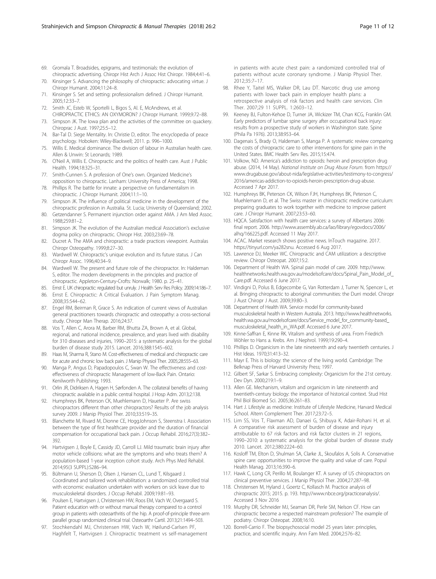- <span id="page-10-0"></span>69. Gromala T. Broadsides, epigrams, and testimonials: the evolution of chiropractic advertising. Chiropr Hist Arch J Assoc Hist Chiropr. 1984;4:41–6.
- 70. Kinsinger S. Advancing the philosophy of chiropractic: advocating virtue. J Chiropr Humanit. 2004;11:24–8.
- 71. Kinsinger S. Set and setting: professionalism defined. J Chiropr Humanit. 2005;12:33–7.
- 72. Smith JC, Esteb W, Sportelli L, Bigos S, Al. E, McAndrews, et al. CHIROPRACTIC ETHICS: AN OXYMORON? J Chiropr Humanit. 1999;9:72–88.
- 73. Simpson JK. The Iowa plan and the activities of the committee on quackery. Chiroprac J Aust. 1997;25:5–12.
- 74. Bar-Tal D. Siege Mentality. In: Christie D, editor. The encyclopedia of peace psychology. Hoboken: Wiley-Blackwell; 2011. p. 996–1000.
- 75. Willis E. Medical dominance. The division of labour in Australian health care. Allen & Unwin: St Leonards; 1989.
- 76. O'Neil A, Willis E. Chiropractic and the politics of health care. Aust J Public Health. 1994;18:325–31.
- 77. Smith-Cunnen S. A profession of One's own. Organized Medicine's opposition to chiropractic. Lanham: University Press of America; 1998.
- 78. Phillips R. The battle for innate: a perspective on fundamentalism in chiropractic. J Chiropr Humanit. 2004;11:1–10.
- 79. Simpson JK. The influence of political medicine in the development of the chiropractic profession in Australia. St. Lucia; University of Queensland; 2002.
- 80. Getzendanner S. Permanent injunction order against AMA. J Am Med Assoc. 1988;259:81–2.
- 81. Simpson JK. The evolution of the Australian medical Association's exclusive dogma policy on chiropractic. Chiropr Hist. 2003;23:69–78.
- 82. Ducret A. The AMA and chiropractic: a trade practices viewpoint. Australas Chiropr Osteopathy. 1999;8:27–30.
- 83. Wardwell W. Chiropractic's unique evolution and its future status. J Can Chiropr Assoc. 1996;40:34–9.
- 84. Wardwell W. The present and future role of the chiropractor. In: Haldeman S, editor. The modern developments in the principles and practice of chiropractic. Appleton-Century-Crofts: Norwalk; 1980. p. 25–41.
- 85. Ernst E. UK chiropractic: regulated but unruly. J Health Serv Res Policy. 2009;14:186–7. 86. Ernst E. Chiropractic: A Critical Evaluation. J Pain Symptom Manag.
- 2008;35:544–62.
- 87. Engel RM, Beirman R, Grace S. An indication of current views of Australian general practitioners towards chiropractic and osteopathy: a cross-sectional study. Chiropr Man Therap. 2016;24:37.
- 88. Vos T, Allen C, Arora M, Barber RM, Bhutta ZA, Brown A, et al. Global, regional, and national incidence, prevalence, and years lived with disability for 310 diseases and injuries, 1990–2015: a systematic analysis for the global burden of disease study 2015. Lancet. 2016;388:1545–602.
- 89. Haas M, Sharma R, Stano M. Cost-effectiveness of medical and chiropractic care for acute and chronic low back pain. J Manip Physiol Ther. 2005;28:555–63.
- 90. Manga P, Angus D, Papadopoulos C, Swan W. The effectiveness and costeffectiveness of chiropractic Management of low-Back Pain. Ontario: Kenilworth Publishing; 1993.
- 91. Orlin JR, Didriksen A, Hagen H, Sørfonden A. The collateral benefits of having chiropractic available in a public central hospital. J Hosp Adm. 2013;2:138.
- 92. Humphreys BK, Peterson CK, Muehlemann D, Haueter P. Are swiss chiropractors different than other chiropractors? Results of the job analysis survey 2009. J Manip Physiol Ther. 2010;33:519–35.
- 93. Blanchette M, Rivard M, Dionne CE, HoggJohnson S, Steenstra I. Association between the type of first healthcare provider and the duration of financial compensation for occupational back pain. J Occup Rehabil. 2016;27(3):382– 392.
- 94. Hartvigsen J, Boyle E, Cassidy JD, Carroll LJ. Mild traumatic brain injury after motor vehicle collisions: what are the symptoms and who treats them? A population-based 1-year inception cohort study. Arch Phys Med Rehabil. 2014;95(3 SUPPL):S286–94.
- 95. Bültmann U, Sherson D, Olsen J, Hansen CL, Lund T, Kilsgaard J. Coordinated and tailored work rehabilitation: a randomized controlled trial with economic evaluation undertaken with workers on sick leave due to musculoskeletal disorders. J Occup Rehabil. 2009;19:81–93.
- 96. Poulsen E, Hartvigsen J, Christensen HW, Roos EM, Vach W, Overgaard S. Patient education with or without manual therapy compared to a control group in patients with osteoarthritis of the hip. A proof-of-principle three-arm parallel group randomized clinical trial. Osteoarthr Cartil. 2013;21:1494–503.
- 97. Stochkendahl MJ, Christensen HW, Vach W, Høilund-Carlsen PF, Haghfelt T, Hartvigsen J. Chiropractic treatment vs self-management

in patients with acute chest pain: a randomized controlled trial of patients without acute coronary syndrome. J Manip Physiol Ther. 2012;35:7–17.

- 98. Rhee Y, Taitel MS, Walker DR, Lau DT. Narcotic drug use among patients with lower back pain in employer health plans: a retrospective analysis of risk factors and health care services. Clin Ther. 2007;29 11 SUPPL. 1:2603–12.
- 99. Keeney BJ, Fulton-Kehoe D, Turner JA, Wickizer TM, Chan KCG, Franklin GM. Early predictors of lumbar spine surgery after occupational back injury: results from a prospective study of workers in Washington state. Spine (Phila Pa 1976). 2013;38:953–64.
- 100. Dagenais S, Brady O, Haldeman S, Manga P. A systematic review comparing the costs of chiropractic care to other interventions for spine pain in the United States. BMC Health Serv Res. 2015;15:474.
- 101. Volkow, ND. America's addiction to opioids: heroin and prescription drug abuse. (2014, 14 May). National Institute on Drug Abuse Forum. from [https://](https://www.drugabuse.gov/about-nida/legislative-activities/testimony-to-congress/2016/americas-addiction-to-opioids-heroin-prescription-drug-abuse) [www.drugabuse.gov/about-nida/legislative-activities/testimony-to-congress/](https://www.drugabuse.gov/about-nida/legislative-activities/testimony-to-congress/2016/americas-addiction-to-opioids-heroin-prescription-drug-abuse) [2016/americas-addiction-to-opioids-heroin-prescription-drug-abuse.](https://www.drugabuse.gov/about-nida/legislative-activities/testimony-to-congress/2016/americas-addiction-to-opioids-heroin-prescription-drug-abuse) Accessed 7 Apr 2017.
- 102. Humphreys BK, Peterson CK, Wilson FJH, Humphreys BK, Peterson C, Muehlemann D, et al. The Swiss master in chiropractic medicine curriculum: preparing graduates to work together with medicine to improve patient care. J Chiropr Humanit. 2007;23:53–60.
- 103. HQCA. Satisfaction with health care services: a survey of Albertans 2006: final report. 2006. [http://www.assembly.ab.ca/lao/library/egovdocs/2006/](http://www.assembly.ab.ca/lao/library/egovdocs/2006/alhq/166225.pdf) [alhq/166225.pdf.](http://www.assembly.ab.ca/lao/library/egovdocs/2006/alhq/166225.pdf) Accessed 11 May 2017.
- 104. ACAC. Market research shows positive news. InTouch magazine. 2017. <https://tinyurl.com/ya282snu>. Accessed 6 Aug 2017.
- 105. Lawrence DJ, Meeker WC. Chiropractic and CAM utilization: a descriptive review. Chiropr Osteopat. 2007;15:2.
- 106. Department of Health WA. Spinal pain model of care. 2009. [http://www.](http://www.healthnetworks.health.wa.gov.au/modelsofcare/docs/Spinal_Pain_Model_of_Care.pdf) [healthnetworks.health.wa.gov.au/modelsofcare/docs/Spinal\\_Pain\\_Model\\_of\\_](http://www.healthnetworks.health.wa.gov.au/modelsofcare/docs/Spinal_Pain_Model_of_Care.pdf) [Care.pdf](http://www.healthnetworks.health.wa.gov.au/modelsofcare/docs/Spinal_Pain_Model_of_Care.pdf). Accessed 6 June 2017.
- 107. Vindigni D, Polus B, Edgecombe G, Van Rotterdam J, Turner N, Spencer L, et al. Bringing chiropractic to aboriginal communities: the Durri model. Chiropr J Aust Chiropr J Aust. 2009;39:80–3.
- 108. Department of Health WA. Service model for community-based musculoskeletal health in Western Australia. 2013. [http://www.healthnetworks.](http://www.healthnetworks.health.wa.gov.au/modelsofcare/docs/Service_model_for_community-based_musculoskeletal_health_in_WA.pdf) [health.wa.gov.au/modelsofcare/docs/Service\\_model\\_for\\_community-based\\_](http://www.healthnetworks.health.wa.gov.au/modelsofcare/docs/Service_model_for_community-based_musculoskeletal_health_in_WA.pdf) [musculoskeletal\\_health\\_in\\_WA.pdf](http://www.healthnetworks.health.wa.gov.au/modelsofcare/docs/Service_model_for_community-based_musculoskeletal_health_in_WA.pdf). Accessed 6 June 2017.
- 109. Kinne-Saffran E, Kinne RK. Vitalism and synthesis of urea. From Friedrich Wöhler to Hans a. Krebs. Am J Nephrol. 1999;19:290–4.
- 110. Phillips D. Organicism in the late nineteenth and early twentieth centuries. J Hist Ideas. 1970;31:413–32.
- 111. Mayr E. This is biology: the science of the living world. Cambridge: The Belknap Press of Harvard University Press; 1997.
- 112. Gilbert SF, Sarkar S. Embracing complexity: Organicism for the 21st century. Dev Dyn. 2000;219:1–9.
- 113. Allen GE. Mechanism, vitalism and organicism in late nineteenth and twentieth-century biology: the importance of historical context. Stud Hist Phil Biol Biomed Sci. 2005;36:261–83.
- 114. Hart J. Lifestyle as medicine: Institute of Lifestyle Medicine, Harvard Medical School. Altern Complement Ther. 2017;23:72–5.
- 115. Lim SS, Vos T, Flaxman AD, Danaei G, Shibuya K, Adair-Rohani H, et al. A comparative risk assessment of burden of disease and injury attributable to 67 risk factors and risk factor clusters in 21 regions, 1990–2010: a systematic analysis for the global burden of disease study 2010. Lancet. 2012;380:2224–60.
- 116. Kosloff TM, Elton D, Shulman SA, Clarke JL, Skoufalos A, Solis A. Conservative spine care: opportunities to improve the quality and value of care. Popul Health Manag. 2013;16:390–6.
- 117. Hawk C, Long CR, Perillo M, Boulanger KT. A survey of US chiropractors on clinical preventive services. J Manip Physiol Ther. 2004;27:287–98.
- 118. Christensen M, Hyland J, Goertz C, Kollasch M. Practice analysis of chiropractic 2015; 2015. p. 193. [http://www.nbce.org/practiceanalysis/](http://www.nbce.org/practiceanalysis). Accessed 3 Nov 2016
- 119. Murphy DR, Schneider MJ, Seaman DR, Perle SM, Nelson CF. How can chiropractic become a respected mainstream profession? The example of podiatry. Chiropr Osteopat. 2008;16:10.
- 120. Borrell-Carrio F. The biopsychosocial model 25 years later: principles, practice, and scientific inquiry. Ann Fam Med. 2004;2:576–82.